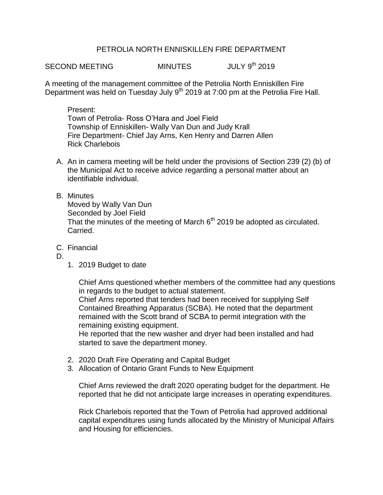## PETROLIA NORTH ENNISKILLEN FIRE DEPARTMENT

SECOND MEETING MINUTES JULY 9<sup>th</sup> 2019

A meeting of the management committee of the Petrolia North Enniskillen Fire Department was held on Tuesday July 9<sup>th</sup> 2019 at 7:00 pm at the Petrolia Fire Hall.

Present: Town of Petrolia- Ross O'Hara and Joel Field Township of Enniskillen- Wally Van Dun and Judy Krall Fire Department- Chief Jay Arns, Ken Henry and Darren Allen Rick Charlebois

A. An in camera meeting will be held under the provisions of Section 239 (2) (b) of the Municipal Act to receive advice regarding a personal matter about an identifiable individual.

## B. Minutes

Moved by Wally Van Dun Seconded by Joel Field That the minutes of the meeting of March  $6<sup>th</sup>$  2019 be adopted as circulated. Carried.

- C. Financial
- D.
- 1. 2019 Budget to date

Chief Arns questioned whether members of the committee had any questions in regards to the budget to actual statement.

Chief Arns reported that tenders had been received for supplying Self Contained Breathing Apparatus (SCBA). He noted that the department remained with the Scott brand of SCBA to permit integration with the remaining existing equipment.

He reported that the new washer and dryer had been installed and had started to save the department money.

- 2. 2020 Draft Fire Operating and Capital Budget
- 3. Allocation of Ontario Grant Funds to New Equipment

Chief Arns reviewed the draft 2020 operating budget for the department. He reported that he did not anticipate large increases in operating expenditures.

Rick Charlebois reported that the Town of Petrolia had approved additional capital expenditures using funds allocated by the Ministry of Municipal Affairs and Housing for efficiencies.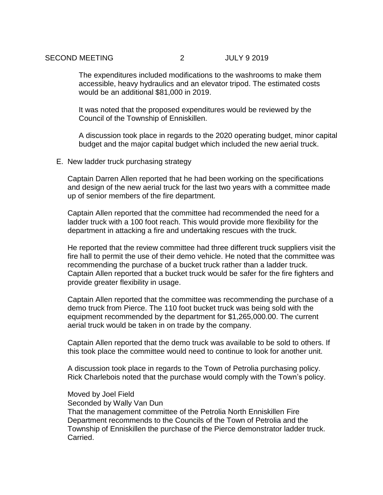The expenditures included modifications to the washrooms to make them accessible, heavy hydraulics and an elevator tripod. The estimated costs would be an additional \$81,000 in 2019.

It was noted that the proposed expenditures would be reviewed by the Council of the Township of Enniskillen.

A discussion took place in regards to the 2020 operating budget, minor capital budget and the major capital budget which included the new aerial truck.

E. New ladder truck purchasing strategy

Captain Darren Allen reported that he had been working on the specifications and design of the new aerial truck for the last two years with a committee made up of senior members of the fire department.

Captain Allen reported that the committee had recommended the need for a ladder truck with a 100 foot reach. This would provide more flexibility for the department in attacking a fire and undertaking rescues with the truck.

He reported that the review committee had three different truck suppliers visit the fire hall to permit the use of their demo vehicle. He noted that the committee was recommending the purchase of a bucket truck rather than a ladder truck. Captain Allen reported that a bucket truck would be safer for the fire fighters and provide greater flexibility in usage.

Captain Allen reported that the committee was recommending the purchase of a demo truck from Pierce. The 110 foot bucket truck was being sold with the equipment recommended by the department for \$1,265,000.00. The current aerial truck would be taken in on trade by the company.

Captain Allen reported that the demo truck was available to be sold to others. If this took place the committee would need to continue to look for another unit.

A discussion took place in regards to the Town of Petrolia purchasing policy. Rick Charlebois noted that the purchase would comply with the Town's policy.

## Moved by Joel Field

Seconded by Wally Van Dun

That the management committee of the Petrolia North Enniskillen Fire Department recommends to the Councils of the Town of Petrolia and the Township of Enniskillen the purchase of the Pierce demonstrator ladder truck. Carried.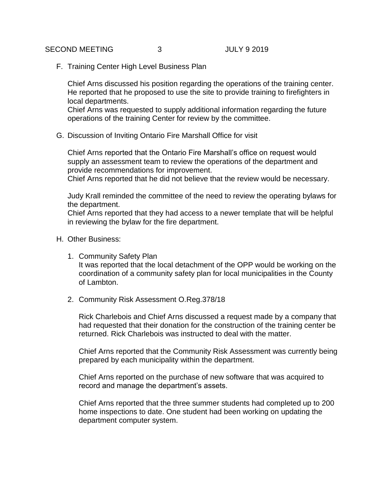F. Training Center High Level Business Plan

Chief Arns discussed his position regarding the operations of the training center. He reported that he proposed to use the site to provide training to firefighters in local departments.

Chief Arns was requested to supply additional information regarding the future operations of the training Center for review by the committee.

G. Discussion of Inviting Ontario Fire Marshall Office for visit

Chief Arns reported that the Ontario Fire Marshall's office on request would supply an assessment team to review the operations of the department and provide recommendations for improvement.

Chief Arns reported that he did not believe that the review would be necessary.

Judy Krall reminded the committee of the need to review the operating bylaws for the department.

Chief Arns reported that they had access to a newer template that will be helpful in reviewing the bylaw for the fire department.

- H. Other Business:
	- 1. Community Safety Plan It was reported that the local detachment of the OPP would be working on the coordination of a community safety plan for local municipalities in the County of Lambton.
	- 2. Community Risk Assessment O.Reg.378/18

Rick Charlebois and Chief Arns discussed a request made by a company that had requested that their donation for the construction of the training center be returned. Rick Charlebois was instructed to deal with the matter.

Chief Arns reported that the Community Risk Assessment was currently being prepared by each municipality within the department.

Chief Arns reported on the purchase of new software that was acquired to record and manage the department's assets.

Chief Arns reported that the three summer students had completed up to 200 home inspections to date. One student had been working on updating the department computer system.